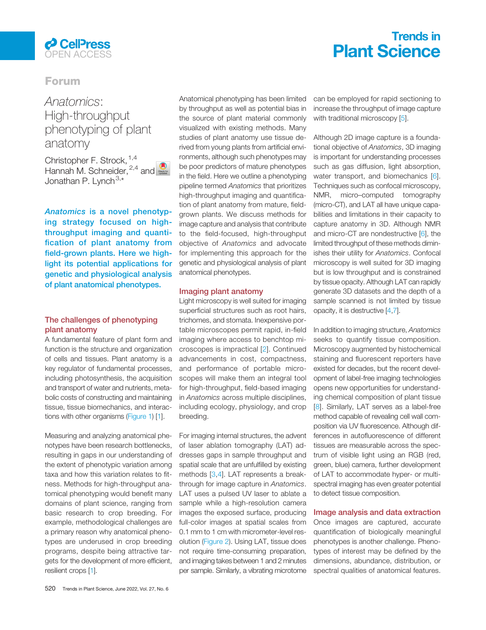

# Trends in Plant Science

# Forum

# Anatomics:<br>High-throughput phenotyping of plant anatomy

christopher F. Strock, <sup>[1,4](#page-2-0)</sup> Hannah M. Schneider,  $^{2,4}$  $^{2,4}$  $^{2,4}$  and  $\bigcirc$ Jonathan P. Lynch<sup>[3,\\*](#page-2-0)</sup>

Anatomics is a novel phenotyping strategy focused on highthroughput imaging and quantification of plant anatomy from field-grown plants. Here we highlight its potential applications for genetic and physiological analysis of plant anatomical phenotypes.

### The challenges of phenotyping plant anatomy

A fundamental feature of plant form and function is the structure and organization of cells and tissues. Plant anatomy is a key regulator of fundamental processes, including photosynthesis, the acquisition and transport of water and nutrients, metabolic costs of constructing and maintaining tissue, tissue biomechanics, and interactions with other organisms [\(Figure 1\)](#page-1-0) [\[1](#page-2-0)].

Measuring and analyzing anatomical phenotypes have been research bottlenecks, resulting in gaps in our understanding of the extent of phenotypic variation among taxa and how this variation relates to fitness. Methods for high-throughput anatomical phenotyping would benefit many domains of plant science, ranging from basic research to crop breeding. For example, methodological challenges are a primary reason why anatomical phenotypes are underused in crop breeding programs, despite being attractive targets for the development of more efficient, resilient crops [[1](#page-2-0)].

Anatomical phenotyping has been limited by throughput as well as potential bias in the source of plant material commonly visualized with existing methods. Many studies of plant anatomy use tissue derived from young plants from artificial environments, although such phenotypes may be poor predictors of mature phenotypes in the field. Here we outline a phenotyping pipeline termed Anatomics that prioritizes high-throughput imaging and quantification of plant anatomy from mature, fieldgrown plants. We discuss methods for image capture and analysis that contribute to the field-focused, high-throughput objective of Anatomics and advocate for implementing this approach for the genetic and physiological analysis of plant anatomical phenotypes.

### Imaging plant anatomy

Light microscopy is well suited for imaging superficial structures such as root hairs, trichomes, and stomata. Inexpensive portable microscopes permit rapid, in-field imaging where access to benchtop microscopes is impractical [[2](#page-2-0)]. Continued advancements in cost, compactness, and performance of portable microscopes will make them an integral tool for high-throughput, field-based imaging in Anatomics across multiple disciplines, including ecology, physiology, and crop breeding.

For imaging internal structures, the advent of laser ablation tomography (LAT) addresses gaps in sample throughput and spatial scale that are unfulfilled by existing methods [[3,](#page-2-0)[4](#page-3-0)]. LAT represents a breakthrough for image capture in Anatomics. LAT uses a pulsed UV laser to ablate a sample while a high-resolution camera images the exposed surface, producing full-color images at spatial scales from 0.1 mm to 1 cm with micrometer-level resolution [\(Figure 2](#page-2-0)). Using LAT, tissue does not require time-consuming preparation, and imaging takes between 1 and 2 minutes per sample. Similarly, a vibrating microtome can be employed for rapid sectioning to increase the throughput of image capture with traditional microscopy [[5\]](#page-3-0).

Although 2D image capture is a foundational objective of Anatomics, 3D imaging is important for understanding processes such as gas diffusion, light absorption, water transport, and biomechanics [\[6](#page-3-0)]. Techniques such as confocal microscopy, NMR, micro–computed tomography (micro-CT), and LAT all have unique capabilities and limitations in their capacity to capture anatomy in 3D. Although NMR and micro-CT are nondestructive [[6\]](#page-3-0), the limited throughput of these methods diminishes their utility for Anatomics. Confocal microscopy is well suited for 3D imaging but is low throughput and is constrained by tissue opacity. Although LAT can rapidly generate 3D datasets and the depth of a sample scanned is not limited by tissue opacity, it is destructive [[4,7\]](#page-3-0).

In addition to imaging structure, Anatomics seeks to quantify tissue composition. Microscopy augmented by histochemical staining and fluorescent reporters have existed for decades, but the recent development of label-free imaging technologies opens new opportunities for understanding chemical composition of plant tissue [[8\]](#page-3-0). Similarly, LAT serves as a label-free method capable of revealing cell wall composition via UV fluorescence. Although differences in autofluorescence of different tissues are measurable across the spectrum of visible light using an RGB (red, green, blue) camera, further development of LAT to accommodate hyper- or multispectral imaging has even greater potential to detect tissue composition.

### Image analysis and data extraction

Once images are captured, accurate quantification of biologically meaningful phenotypes is another challenge. Phenotypes of interest may be defined by the dimensions, abundance, distribution, or spectral qualities of anatomical features.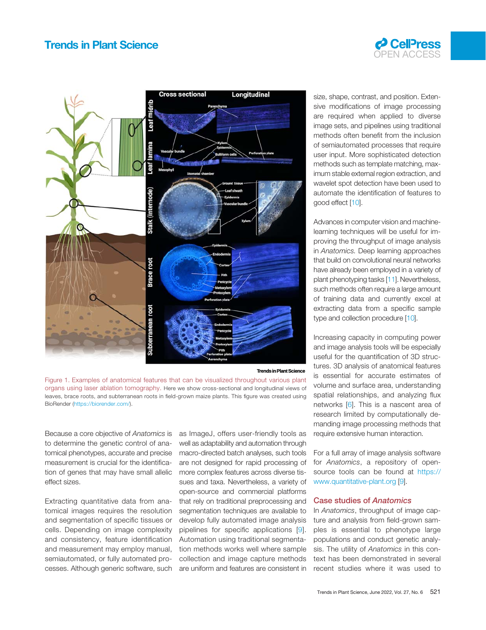# <span id="page-1-0"></span>Trends in Plant Science





#### **[Trends in Plant Science](Image of Figure 1)**

Figure 1. Examples of anatomical features that can be visualized throughout various plant organs using laser ablation tomography. Here we show cross-sectional and longitudinal views of leaves, brace roots, and subterranean roots in field-grown maize plants. This figure was created using BioRender (<https://biorender.com/>).

Because a core objective of Anatomics is to determine the genetic control of anatomical phenotypes, accurate and precise measurement is crucial for the identification of genes that may have small allelic effect sizes.

Extracting quantitative data from anatomical images requires the resolution and segmentation of specific tissues or cells. Depending on image complexity and consistency, feature identification and measurement may employ manual, semiautomated, or fully automated processes. Although generic software, such

as ImageJ, offers user-friendly tools as well as adaptability and automation through macro-directed batch analyses, such tools are not designed for rapid processing of more complex features across diverse tissues and taxa. Nevertheless, a variety of open-source and commercial platforms that rely on traditional preprocessing and segmentation techniques are available to develop fully automated image analysis pipelines for specific applications [\[9\]](#page-3-0). Automation using traditional segmentation methods works well where sample collection and image capture methods are uniform and features are consistent in size, shape, contrast, and position. Extensive modifications of image processing are required when applied to diverse image sets, and pipelines using traditional methods often benefit from the inclusion of semiautomated processes that require user input. More sophisticated detection methods such as template matching, maximum stable external region extraction, and wavelet spot detection have been used to automate the identification of features to good effect [\[10\]](#page-3-0).

Advances in computer vision and machinelearning techniques will be useful for improving the throughput of image analysis in Anatomics. Deep learning approaches that build on convolutional neural networks have already been employed in a variety of plant phenotyping tasks [\[11\]](#page-3-0). Nevertheless, such methods often require a large amount of training data and currently excel at extracting data from a specific sample type and collection procedure [[10](#page-3-0)].

Increasing capacity in computing power and image analysis tools will be especially useful for the quantification of 3D structures. 3D analysis of anatomical features is essential for accurate estimates of volume and surface area, understanding spatial relationships, and analyzing flux networks [[6\]](#page-3-0). This is a nascent area of research limited by computationally demanding image processing methods that require extensive human interaction.

For a full array of image analysis software for Anatomics, a repository of opensource tools can be found at [https://](https://www.quantitative-plant.org) [www.quantitative-plant.org](https://www.quantitative-plant.org) [\[9](#page-3-0)].

### Case studies of Anatomics

In Anatomics, throughput of image capture and analysis from field-grown samples is essential to phenotype large populations and conduct genetic analysis. The utility of Anatomics in this context has been demonstrated in several recent studies where it was used to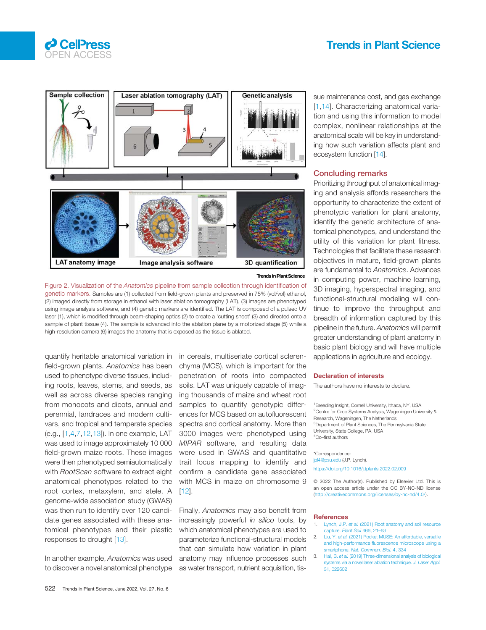## Trends in Plant Science

<span id="page-2-0"></span>



**[Trends in Plant Science](Image of Figure 2)**

Figure 2. Visualization of the Anatomics pipeline from sample collection through identification of genetic markers. Samples are (1) collected from field-grown plants and preserved in 75% (vol/vol) ethanol, (2) imaged directly from storage in ethanol with laser ablation tomography (LAT), (3) images are phenotyped using image analysis software, and (4) genetic markers are identified. The LAT is composed of a pulsed UV laser (1), which is modified through beam-shaping optics (2) to create a 'cutting sheet' (3) and directed onto a sample of plant tissue (4). The sample is advanced into the ablation plane by a motorized stage (5) while a high-resolution camera (6) images the anatomy that is exposed as the tissue is ablated.

quantify heritable anatomical variation in field-grown plants. Anatomics has been used to phenotype diverse tissues, including roots, leaves, stems, and seeds, as well as across diverse species ranging from monocots and dicots, annual and perennial, landraces and modern cultivars, and tropical and temperate species (e.g., [1[,4](#page-3-0),[7,12,13](#page-3-0)]). In one example, LAT was used to image approximately 10 000 field-grown maize roots. These images were then phenotyped semiautomatically with RootScan software to extract eight anatomical phenotypes related to the root cortex, metaxylem, and stele. A genome-wide association study (GWAS) was then run to identify over 120 candidate genes associated with these anatomical phenotypes and their plastic responses to drought [\[13](#page-3-0)].

In another example, Anatomics was used to discover a novel anatomical phenotype

in cereals, multiseriate cortical sclerenchyma (MCS), which is important for the penetration of roots into compacted soils. LAT was uniquely capable of imaging thousands of maize and wheat root samples to quantify genotypic differences for MCS based on autofluorescent spectra and cortical anatomy. More than 3000 images were phenotyped using MIPAR software, and resulting data were used in GWAS and quantitative trait locus mapping to identify and confirm a candidate gene associated with MCS in maize on chromosome 9  $[12]$  $[12]$ .

Finally, Anatomics may also benefit from increasingly powerful in silico tools, by which anatomical phenotypes are used to parameterize functional-structural models that can simulate how variation in plant anatomy may influence processes such as water transport, nutrient acquisition, tissue maintenance cost, and gas exchange [1,[14](#page-3-0)]. Characterizing anatomical variation and using this information to model complex, nonlinear relationships at the anatomical scale will be key in understanding how such variation affects plant and ecosystem function [\[14](#page-3-0)].

### Concluding remarks

Prioritizing throughput of anatomical imaging and analysis affords researchers the opportunity to characterize the extent of phenotypic variation for plant anatomy, identify the genetic architecture of anatomical phenotypes, and understand the utility of this variation for plant fitness. Technologies that facilitate these research objectives in mature, field-grown plants are fundamental to Anatomics. Advances in computing power, machine learning, 3D imaging, hyperspectral imaging, and functional-structural modeling will continue to improve the throughput and breadth of information captured by this pipeline in the future. Anatomics will permit greater understanding of plant anatomy in basic plant biology and will have multiple applications in agriculture and ecology.

#### Declaration of interests

The authors have no interests to declare.

<sup>1</sup> Breeding Insight, Cornell University, Ithaca, NY, USA <sup>2</sup>Centre for Crop Systems Analysis, Wageningen University & Research, Wageningen, The Netherlands <sup>3</sup>Department of Plant Sciences, The Pennsylvania State University, State College, PA, USA 4 Co–first authors

\*Correspondence: jpl4@psu.edu (J.P. Lynch). <https://doi.org/10.1016/j.tplants.2022.02.009>

© 2022 The Author(s). Published by Elsevier Ltd. This is an open access article under the CC BY-NC-ND license (<http://creativecommons.org/licenses/by-nc-nd/4.0/>).

#### References

- Lynch, J.P. et al. [\(2021\) Root anatomy and soil resource](http://refhub.elsevier.com/S1360-1385(22)00051-6/rf0005) [capture.](http://refhub.elsevier.com/S1360-1385(22)00051-6/rf0005) Plant Soil 466, 21-63
- Liu, Y. et al. [\(2021\) Pocket MUSE: An affordable, versatile](http://refhub.elsevier.com/S1360-1385(22)00051-6/rf0010) and high-performance fl[uorescence microscope using a](http://refhub.elsevier.com/S1360-1385(22)00051-6/rf0010) smartphone. [Nat. Commun. Biol.](http://refhub.elsevier.com/S1360-1385(22)00051-6/rf0010) 4, 334
- Hall, B. et al. [\(2019\) Three-dimensional analysis of biological](http://refhub.elsevier.com/S1360-1385(22)00051-6/rf0015) [systems via a novel laser ablation technique.](http://refhub.elsevier.com/S1360-1385(22)00051-6/rf0015) J. Laser Appl. [31, 022602](http://refhub.elsevier.com/S1360-1385(22)00051-6/rf0015)